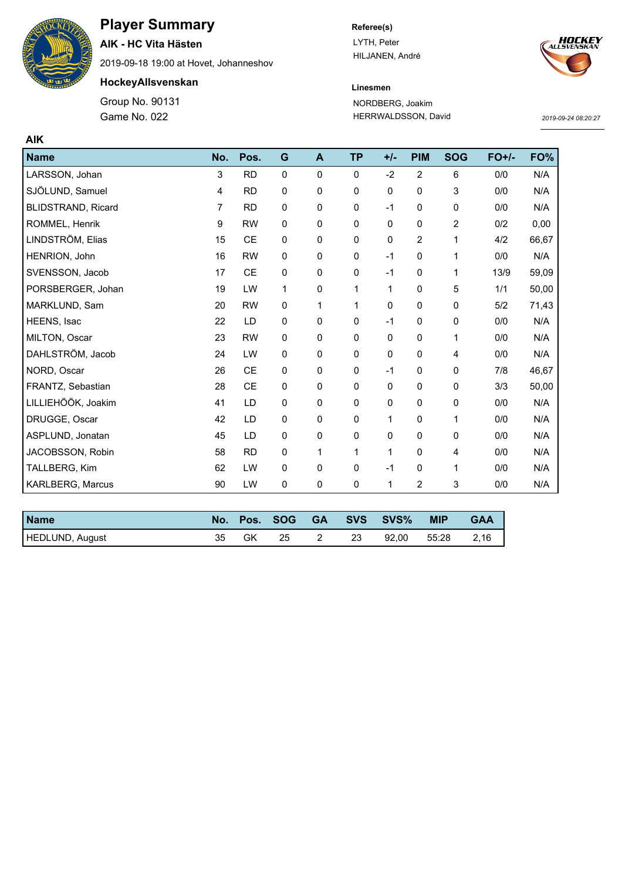

# **Player Summary**

**AIK - HC Vita Hästen**

2019-09-18 19:00 at Hovet, Johanneshov

**HockeyAllsvenskan**

Game No. 022 Group No. 90131

### **Referee(s)**

LYTH, Peter HILJANEN, André



### **Linesmen** NORDBERG, Joakim HERRWALDSSON, David

*2019-09-24 08:20:27*

| <b>AIK</b>                |     |           |              |              |              |              |                |            |         |       |
|---------------------------|-----|-----------|--------------|--------------|--------------|--------------|----------------|------------|---------|-------|
| <b>Name</b>               | No. | Pos.      | G            | $\mathbf{A}$ | <b>TP</b>    | $+/-$        | <b>PIM</b>     | <b>SOG</b> | $FO+/-$ | FO%   |
| LARSSON, Johan            | 3   | <b>RD</b> | $\mathbf 0$  | 0            | $\mathbf{0}$ | $-2$         | $\overline{2}$ | 6          | 0/0     | N/A   |
| SJÖLUND, Samuel           | 4   | <b>RD</b> | $\mathbf 0$  | 0            | $\mathbf 0$  | 0            | $\mathbf 0$    | 3          | 0/0     | N/A   |
| <b>BLIDSTRAND, Ricard</b> | 7   | <b>RD</b> | $\mathbf 0$  | 0            | $\mathbf 0$  | $-1$         | 0              | 0          | 0/0     | N/A   |
| ROMMEL, Henrik            | 9   | <b>RW</b> | 0            | 0            | 0            | 0            | 0              | 2          | 0/2     | 0,00  |
| LINDSTRÖM, Elias          | 15  | <b>CE</b> | 0            | 0            | 0            | 0            | $\overline{2}$ | 1          | 4/2     | 66,67 |
| HENRION, John             | 16  | <b>RW</b> | $\mathbf{0}$ | 0            | $\mathbf 0$  | $-1$         | $\mathbf 0$    | 1          | 0/0     | N/A   |
| SVENSSON, Jacob           | 17  | <b>CE</b> | 0            | 0            | $\mathbf 0$  | $-1$         | 0              | 1          | 13/9    | 59,09 |
| PORSBERGER, Johan         | 19  | LW        | 1            | 0            | 1            | 1            | $\pmb{0}$      | 5          | 1/1     | 50,00 |
| MARKLUND, Sam             | 20  | <b>RW</b> | 0            | 1            | 1            | 0            | 0              | 0          | 5/2     | 71,43 |
| HEENS, Isac               | 22  | LD        | 0            | 0            | 0            | $-1$         | 0              | 0          | 0/0     | N/A   |
| MILTON, Oscar             | 23  | <b>RW</b> | $\mathbf 0$  | 0            | $\mathbf 0$  | $\mathbf 0$  | $\mathbf 0$    | 1          | 0/0     | N/A   |
| DAHLSTRÖM, Jacob          | 24  | LW        | $\mathbf 0$  | 0            | $\mathbf 0$  | 0            | 0              | 4          | 0/0     | N/A   |
| NORD, Oscar               | 26  | <b>CE</b> | 0            | 0            | 0            | $-1$         | 0              | 0          | 7/8     | 46,67 |
| FRANTZ, Sebastian         | 28  | <b>CE</b> | 0            | 0            | $\pmb{0}$    | $\mathbf 0$  | $\mathbf 0$    | 0          | 3/3     | 50,00 |
| LILLIEHÖÖK, Joakim        | 41  | LD        | $\mathbf 0$  | 0            | $\mathbf 0$  | $\Omega$     | $\mathbf 0$    | 0          | 0/0     | N/A   |
| DRUGGE, Oscar             | 42  | LD        | 0            | 0            | 0            | 1            | 0              | 1          | 0/0     | N/A   |
| ASPLUND, Jonatan          | 45  | LD        | $\pmb{0}$    | 0            | $\pmb{0}$    | 0            | 0              | $\pmb{0}$  | 0/0     | N/A   |
| JACOBSSON, Robin          | 58  | <b>RD</b> | 0            | 1            | 1            | $\mathbf{1}$ | $\mathbf 0$    | 4          | 0/0     | N/A   |
| TALLBERG, Kim             | 62  | LW        | 0            | 0            | $\mathbf 0$  | $-1$         | 0              | 1          | 0/0     | N/A   |
| KARLBERG, Marcus          | 90  | LW        | 0            | 0            | $\mathbf 0$  | 1            | 2              | 3          | 0/0     | N/A   |

| <b>Name</b>     | No. |    | Pos. SOG GA |    | SVS SVS% | <b>MIP</b> | <b>GAA</b> |
|-----------------|-----|----|-------------|----|----------|------------|------------|
| HEDLUND, August | 35  | GK | -25         | 23 | 92.00    | 55:28      | 2,16       |